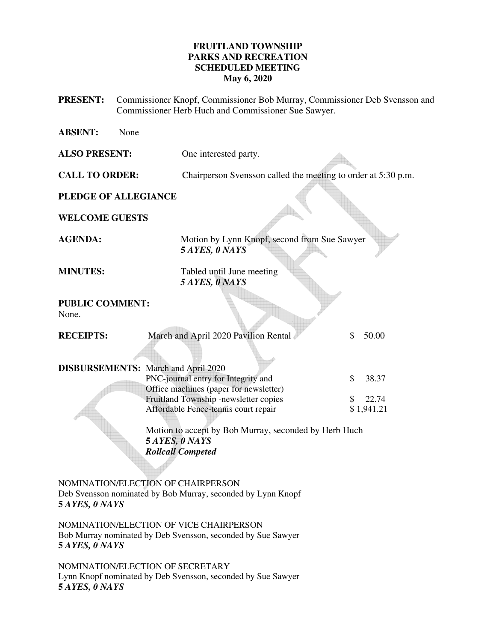# **FRUITLAND TOWNSHIP PARKS AND RECREATION SCHEDULED MEETING May 6, 2020**

- **PRESENT:** Commissioner Knopf, Commissioner Bob Murray, Commissioner Deb Svensson and Commissioner Herb Huch and Commissioner Sue Sawyer.
- **ABSENT:** None **ALSO PRESENT:** One interested party. **CALL TO ORDER:** Chairperson Svensson called the meeting to order at 5:30 p.m. **PLEDGE OF ALLEGIANCE WELCOME GUESTS**  AGENDA: Motion by Lynn Knopf, second from Sue Sawyer  **5** *AYES, 0 NAYS*  **MINUTES:** Tabled until June meeting *5 AYES, 0 NAYS*  **PUBLIC COMMENT:**  None. **RECEIPTS:** March and April 2020 Pavilion Rental \$ 50.00 **DISBURSEMENTS:** March and April 2020 PNC-journal entry for Integrity and  $$38.37$ Office machines (paper for newsletter) Fruitland Township -newsletter copies  $\qquad$  \$ 22.74 Affordable Fence-tennis court repair \$ 1,941.21 Motion to accept by Bob Murray, seconded by Herb Huch **5** *AYES, 0 NAYS Rollcall Competed* NOMINATION/ELECTION OF CHAIRPERSON Deb Svensson nominated by Bob Murray, seconded by Lynn Knopf **5** *AYES, 0 NAYS*

NOMINATION/ELECTION OF VICE CHAIRPERSON Bob Murray nominated by Deb Svensson, seconded by Sue Sawyer **5** *AYES, 0 NAYS*

NOMINATION/ELECTION OF SECRETARY Lynn Knopf nominated by Deb Svensson, seconded by Sue Sawyer **5** *AYES, 0 NAYS*